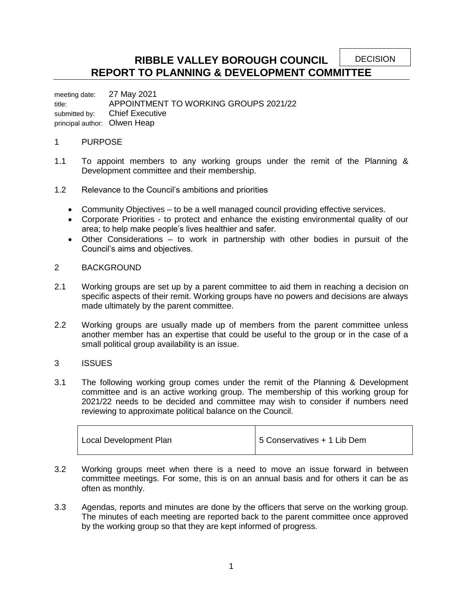**DECISION** 

# **RIBBLE VALLEY BOROUGH COUNCIL REPORT TO PLANNING & DEVELOPMENT COMMITTEE**

meeting date: 27 May 2021 title: APPOINTMENT TO WORKING GROUPS 2021/22 submitted by: Chief Executive principal author: Olwen Heap

## 1 PURPOSE

- 1.1 To appoint members to any working groups under the remit of the Planning & Development committee and their membership.
- 1.2 Relevance to the Council's ambitions and priorities
	- Community Objectives to be a well managed council providing effective services.
	- Corporate Priorities to protect and enhance the existing environmental quality of our area; to help make people's lives healthier and safer.
	- Other Considerations to work in partnership with other bodies in pursuit of the Council's aims and objectives.

#### 2 BACKGROUND

- 2.1 Working groups are set up by a parent committee to aid them in reaching a decision on specific aspects of their remit. Working groups have no powers and decisions are always made ultimately by the parent committee.
- 2.2 Working groups are usually made up of members from the parent committee unless another member has an expertise that could be useful to the group or in the case of a small political group availability is an issue.

## 3 ISSUES

3.1 The following working group comes under the remit of the Planning & Development committee and is an active working group. The membership of this working group for 2021/22 needs to be decided and committee may wish to consider if numbers need reviewing to approximate political balance on the Council.

| Local Development Plan | 5 Conservatives + 1 Lib Dem |
|------------------------|-----------------------------|
|------------------------|-----------------------------|

- 3.2 Working groups meet when there is a need to move an issue forward in between committee meetings. For some, this is on an annual basis and for others it can be as often as monthly.
- 3.3 Agendas, reports and minutes are done by the officers that serve on the working group. The minutes of each meeting are reported back to the parent committee once approved by the working group so that they are kept informed of progress.